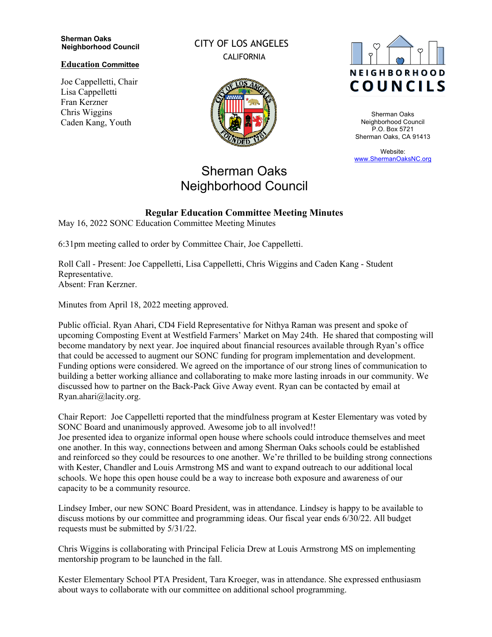#### **Sherman Oaks Neighborhood Council**

### **Education Committee**

Joe Cappelletti, Chair Lisa Cappelletti Fran Kerzner Chris Wiggins Caden Kang, Youth

CITY OF LOS ANGELES CALIFORNIA



## Sherman Oaks Neighborhood Council

# **NEIGHBORHOOD COUNCILS**

Sherman Oaks Neighborhood Council P.O. Box 5721 Sherman Oaks, CA 91413

Website: www.ShermanOaksNC.org

## **Regular Education Committee Meeting Minutes**

May 16, 2022 SONC Education Committee Meeting Minutes

6:31pm meeting called to order by Committee Chair, Joe Cappelletti.

Roll Call - Present: Joe Cappelletti, Lisa Cappelletti, Chris Wiggins and Caden Kang - Student Representative. Absent: Fran Kerzner.

Minutes from April 18, 2022 meeting approved.

Public official. Ryan Ahari, CD4 Field Representative for Nithya Raman was present and spoke of upcoming Composting Event at Westfield Farmers' Market on May 24th. He shared that composting will become mandatory by next year. Joe inquired about financial resources available through Ryan's office that could be accessed to augment our SONC funding for program implementation and development. Funding options were considered. We agreed on the importance of our strong lines of communication to building a better working alliance and collaborating to make more lasting inroads in our community. We discussed how to partner on the Back-Pack Give Away event. Ryan can be contacted by email at Ryan.ahari@lacity.org.

Chair Report: Joe Cappelletti reported that the mindfulness program at Kester Elementary was voted by SONC Board and unanimously approved. Awesome job to all involved!! Joe presented idea to organize informal open house where schools could introduce themselves and meet one another. In this way, connections between and among Sherman Oaks schools could be established and reinforced so they could be resources to one another. We're thrilled to be building strong connections with Kester, Chandler and Louis Armstrong MS and want to expand outreach to our additional local schools. We hope this open house could be a way to increase both exposure and awareness of our capacity to be a community resource.

Lindsey Imber, our new SONC Board President, was in attendance. Lindsey is happy to be available to discuss motions by our committee and programming ideas. Our fiscal year ends 6/30/22. All budget requests must be submitted by 5/31/22.

Chris Wiggins is collaborating with Principal Felicia Drew at Louis Armstrong MS on implementing mentorship program to be launched in the fall.

Kester Elementary School PTA President, Tara Kroeger, was in attendance. She expressed enthusiasm about ways to collaborate with our committee on additional school programming.